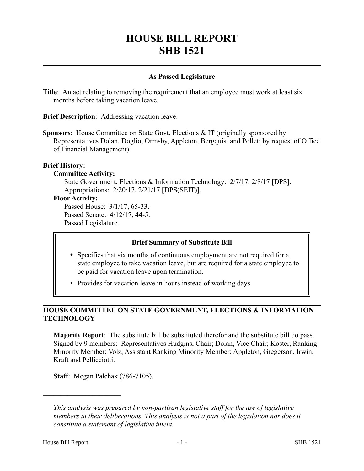# **HOUSE BILL REPORT SHB 1521**

## **As Passed Legislature**

**Title:** An act relating to removing the requirement that an employee must work at least six months before taking vacation leave.

**Brief Description**: Addressing vacation leave.

**Sponsors**: House Committee on State Govt, Elections & IT (originally sponsored by Representatives Dolan, Doglio, Ormsby, Appleton, Bergquist and Pollet; by request of Office of Financial Management).

### **Brief History:**

### **Committee Activity:**

State Government, Elections & Information Technology: 2/7/17, 2/8/17 [DPS]; Appropriations: 2/20/17, 2/21/17 [DPS(SEIT)].

### **Floor Activity:**

Passed House: 3/1/17, 65-33. Passed Senate: 4/12/17, 44-5. Passed Legislature.

### **Brief Summary of Substitute Bill**

- Specifies that six months of continuous employment are not required for a state employee to take vacation leave, but are required for a state employee to be paid for vacation leave upon termination.
- Provides for vacation leave in hours instead of working days.

## **HOUSE COMMITTEE ON STATE GOVERNMENT, ELECTIONS & INFORMATION TECHNOLOGY**

**Majority Report**: The substitute bill be substituted therefor and the substitute bill do pass. Signed by 9 members: Representatives Hudgins, Chair; Dolan, Vice Chair; Koster, Ranking Minority Member; Volz, Assistant Ranking Minority Member; Appleton, Gregerson, Irwin, Kraft and Pellicciotti.

**Staff**: Megan Palchak (786-7105).

––––––––––––––––––––––

*This analysis was prepared by non-partisan legislative staff for the use of legislative members in their deliberations. This analysis is not a part of the legislation nor does it constitute a statement of legislative intent.*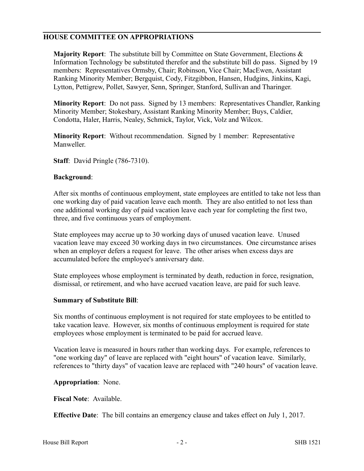## **HOUSE COMMITTEE ON APPROPRIATIONS**

**Majority Report**: The substitute bill by Committee on State Government, Elections & Information Technology be substituted therefor and the substitute bill do pass. Signed by 19 members: Representatives Ormsby, Chair; Robinson, Vice Chair; MacEwen, Assistant Ranking Minority Member; Bergquist, Cody, Fitzgibbon, Hansen, Hudgins, Jinkins, Kagi, Lytton, Pettigrew, Pollet, Sawyer, Senn, Springer, Stanford, Sullivan and Tharinger.

**Minority Report**: Do not pass. Signed by 13 members: Representatives Chandler, Ranking Minority Member; Stokesbary, Assistant Ranking Minority Member; Buys, Caldier, Condotta, Haler, Harris, Nealey, Schmick, Taylor, Vick, Volz and Wilcox.

**Minority Report**: Without recommendation. Signed by 1 member: Representative Manweller.

**Staff**: David Pringle (786-7310).

## **Background**:

After six months of continuous employment, state employees are entitled to take not less than one working day of paid vacation leave each month. They are also entitled to not less than one additional working day of paid vacation leave each year for completing the first two, three, and five continuous years of employment.

State employees may accrue up to 30 working days of unused vacation leave. Unused vacation leave may exceed 30 working days in two circumstances. One circumstance arises when an employer defers a request for leave. The other arises when excess days are accumulated before the employee's anniversary date.

State employees whose employment is terminated by death, reduction in force, resignation, dismissal, or retirement, and who have accrued vacation leave, are paid for such leave.

### **Summary of Substitute Bill**:

Six months of continuous employment is not required for state employees to be entitled to take vacation leave. However, six months of continuous employment is required for state employees whose employment is terminated to be paid for accrued leave.

Vacation leave is measured in hours rather than working days. For example, references to "one working day" of leave are replaced with "eight hours" of vacation leave. Similarly, references to "thirty days" of vacation leave are replaced with "240 hours" of vacation leave.

**Appropriation**: None.

**Fiscal Note**: Available.

**Effective Date**: The bill contains an emergency clause and takes effect on July 1, 2017.